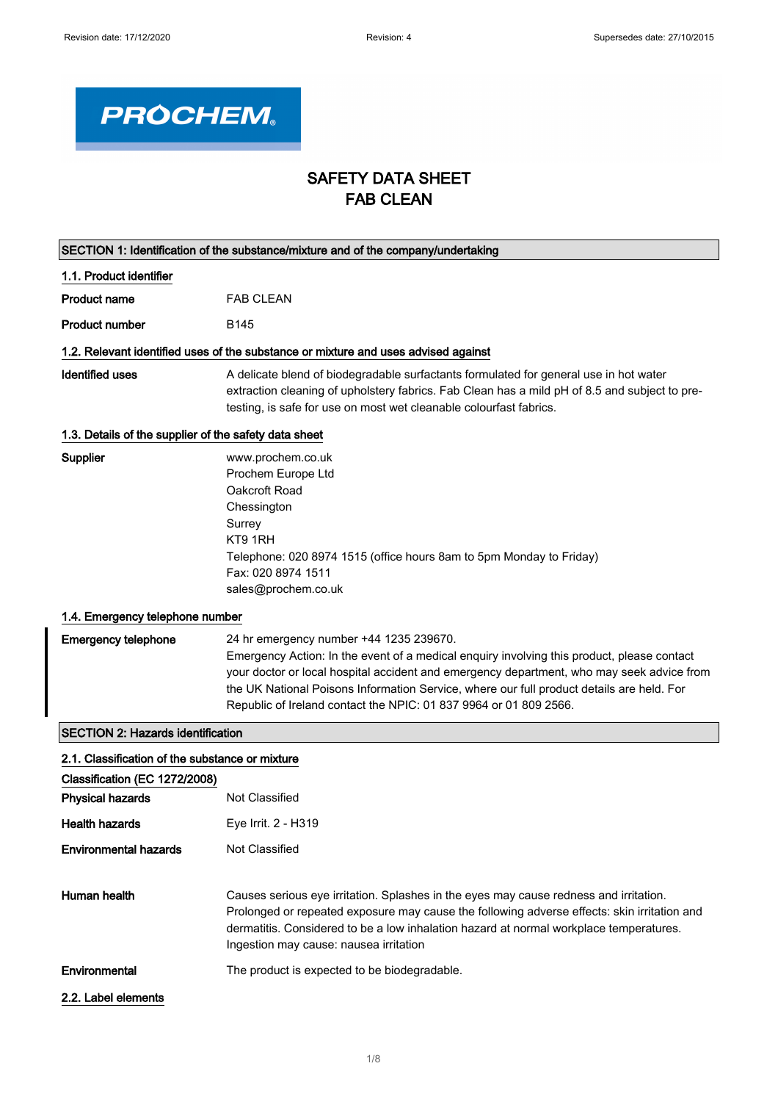

## SAFETY DATA SHEET FAB CLEAN

| SECTION 1: Identification of the substance/mixture and of the company/undertaking  |                                                                                                                                                                                                                                                                                                                                                                                                      |  |
|------------------------------------------------------------------------------------|------------------------------------------------------------------------------------------------------------------------------------------------------------------------------------------------------------------------------------------------------------------------------------------------------------------------------------------------------------------------------------------------------|--|
| 1.1. Product identifier                                                            |                                                                                                                                                                                                                                                                                                                                                                                                      |  |
| <b>Product name</b>                                                                | <b>FAB CLEAN</b>                                                                                                                                                                                                                                                                                                                                                                                     |  |
| <b>Product number</b>                                                              | B145                                                                                                                                                                                                                                                                                                                                                                                                 |  |
| 1.2. Relevant identified uses of the substance or mixture and uses advised against |                                                                                                                                                                                                                                                                                                                                                                                                      |  |
| <b>Identified uses</b>                                                             | A delicate blend of biodegradable surfactants formulated for general use in hot water<br>extraction cleaning of upholstery fabrics. Fab Clean has a mild pH of 8.5 and subject to pre-<br>testing, is safe for use on most wet cleanable colourfast fabrics.                                                                                                                                         |  |
| 1.3. Details of the supplier of the safety data sheet                              |                                                                                                                                                                                                                                                                                                                                                                                                      |  |
| Supplier                                                                           | www.prochem.co.uk<br>Prochem Europe Ltd<br>Oakcroft Road<br>Chessington<br>Surrey<br>KT9 1RH<br>Telephone: 020 8974 1515 (office hours 8am to 5pm Monday to Friday)<br>Fax: 020 8974 1511<br>sales@prochem.co.uk                                                                                                                                                                                     |  |
| 1.4. Emergency telephone number                                                    |                                                                                                                                                                                                                                                                                                                                                                                                      |  |
| <b>Emergency telephone</b>                                                         | 24 hr emergency number +44 1235 239670.<br>Emergency Action: In the event of a medical enquiry involving this product, please contact<br>your doctor or local hospital accident and emergency department, who may seek advice from<br>the UK National Poisons Information Service, where our full product details are held. For<br>Republic of Ireland contact the NPIC: 01 837 9964 or 01 809 2566. |  |
| <b>SECTION 2: Hazards identification</b>                                           |                                                                                                                                                                                                                                                                                                                                                                                                      |  |
| 2.1. Classification of the substance or mixture                                    |                                                                                                                                                                                                                                                                                                                                                                                                      |  |
| Classification (EC 1272/2008)                                                      |                                                                                                                                                                                                                                                                                                                                                                                                      |  |
| <b>Physical hazards</b>                                                            | <b>Not Classified</b>                                                                                                                                                                                                                                                                                                                                                                                |  |
| Health hazards                                                                     | Eye Irrit. 2 - H319                                                                                                                                                                                                                                                                                                                                                                                  |  |
| <b>Environmental hazards</b>                                                       | Not Classified                                                                                                                                                                                                                                                                                                                                                                                       |  |
| Human health                                                                       | Causes serious eye irritation. Splashes in the eyes may cause redness and irritation.<br>Prolonged or repeated exposure may cause the following adverse effects: skin irritation and<br>dermatitis. Considered to be a low inhalation hazard at normal workplace temperatures.<br>Ingestion may cause: nausea irritation                                                                             |  |
| Environmental                                                                      | The product is expected to be biodegradable.                                                                                                                                                                                                                                                                                                                                                         |  |
| 2.2. Label elements                                                                |                                                                                                                                                                                                                                                                                                                                                                                                      |  |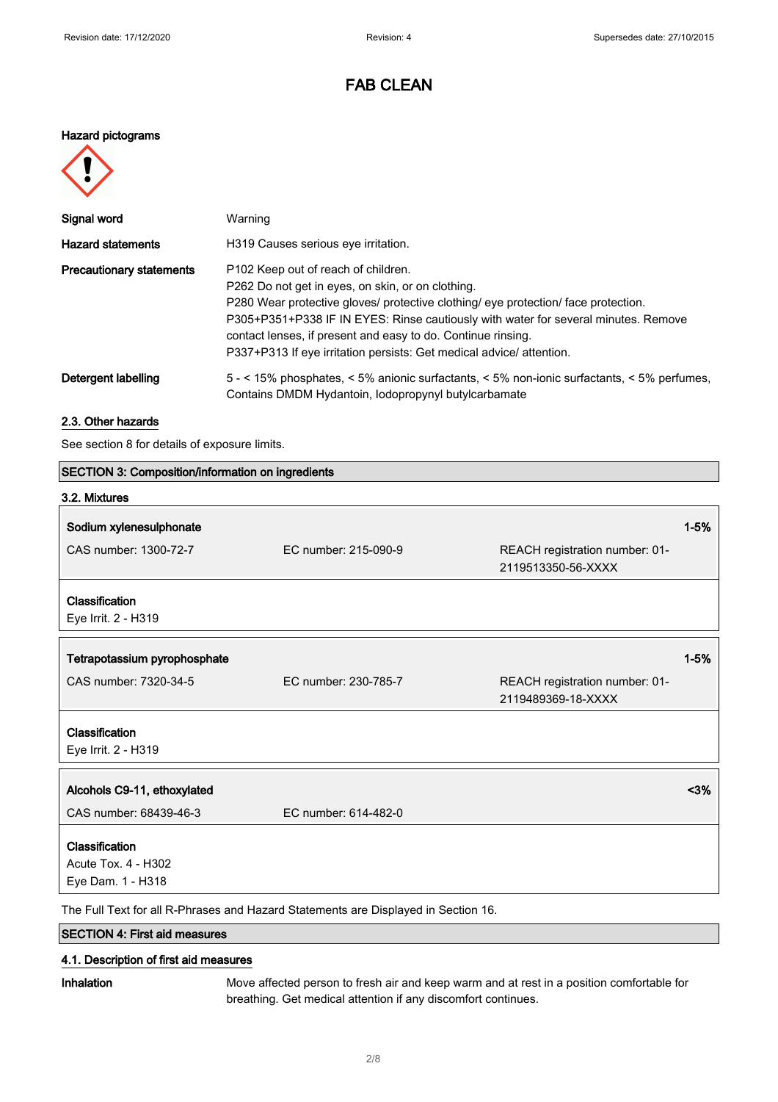#### Hazard pictograms



| Signal word                     | Warning                                                                                                                                                                                                                                                                                                                                                                                                                 |
|---------------------------------|-------------------------------------------------------------------------------------------------------------------------------------------------------------------------------------------------------------------------------------------------------------------------------------------------------------------------------------------------------------------------------------------------------------------------|
| <b>Hazard statements</b>        | H319 Causes serious eye irritation.                                                                                                                                                                                                                                                                                                                                                                                     |
| <b>Precautionary statements</b> | P <sub>102</sub> Keep out of reach of children.<br>P262 Do not get in eyes, on skin, or on clothing.<br>P280 Wear protective gloves/ protective clothing/ eye protection/ face protection.<br>P305+P351+P338 IF IN EYES: Rinse cautiously with water for several minutes. Remove<br>contact lenses, if present and easy to do. Continue rinsing.<br>P337+P313 If eye irritation persists: Get medical advice/attention. |
| Detergent labelling             | 5 - < 15% phosphates, < 5% anionic surfactants, < 5% non-ionic surfactants, < 5% perfumes,<br>Contains DMDM Hydantoin, Iodopropynyl butylcarbamate                                                                                                                                                                                                                                                                      |

### 2.3. Other hazards

See section 8 for details of exposure limits.

| SECTION 3: Composition/information on ingredients                                  |                      |                                                      |          |
|------------------------------------------------------------------------------------|----------------------|------------------------------------------------------|----------|
| 3.2. Mixtures                                                                      |                      |                                                      |          |
| Sodium xylenesulphonate                                                            |                      |                                                      | $1 - 5%$ |
| CAS number: 1300-72-7                                                              | EC number: 215-090-9 | REACH registration number: 01-<br>2119513350-56-XXXX |          |
| Classification<br>Eye Irrit. 2 - H319                                              |                      |                                                      |          |
| Tetrapotassium pyrophosphate                                                       |                      |                                                      | $1 - 5%$ |
| CAS number: 7320-34-5                                                              | EC number: 230-785-7 | REACH registration number: 01-<br>2119489369-18-XXXX |          |
| Classification<br>Eye Irrit. 2 - H319                                              |                      |                                                      |          |
| Alcohols C9-11, ethoxylated                                                        |                      |                                                      | $3%$     |
| CAS number: 68439-46-3                                                             | EC number: 614-482-0 |                                                      |          |
| Classification<br>Acute Tox. 4 - H302<br>Eye Dam. 1 - H318                         |                      |                                                      |          |
| The Full Text for all R-Phrases and Hazard Statements are Displayed in Section 16. |                      |                                                      |          |

SECTION 4: First aid measures

### 4.1. Description of first aid measures

Inhalation Move affected person to fresh air and keep warm and at rest in a position comfortable for breathing. Get medical attention if any discomfort continues.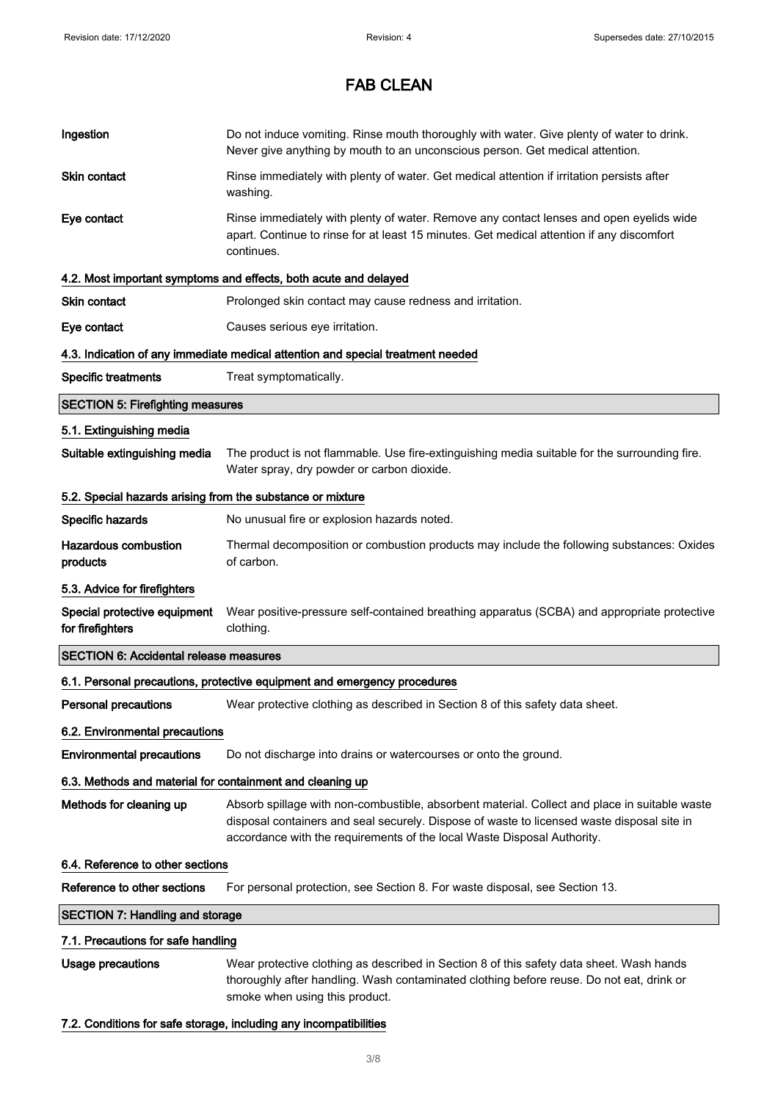| Ingestion                                                  | Do not induce vomiting. Rinse mouth thoroughly with water. Give plenty of water to drink.<br>Never give anything by mouth to an unconscious person. Get medical attention.                                                                                             |  |
|------------------------------------------------------------|------------------------------------------------------------------------------------------------------------------------------------------------------------------------------------------------------------------------------------------------------------------------|--|
| Skin contact                                               | Rinse immediately with plenty of water. Get medical attention if irritation persists after<br>washing.                                                                                                                                                                 |  |
| Eye contact                                                | Rinse immediately with plenty of water. Remove any contact lenses and open eyelids wide<br>apart. Continue to rinse for at least 15 minutes. Get medical attention if any discomfort<br>continues.                                                                     |  |
|                                                            | 4.2. Most important symptoms and effects, both acute and delayed                                                                                                                                                                                                       |  |
| <b>Skin contact</b>                                        | Prolonged skin contact may cause redness and irritation.                                                                                                                                                                                                               |  |
| Eye contact                                                | Causes serious eye irritation.                                                                                                                                                                                                                                         |  |
|                                                            | 4.3. Indication of any immediate medical attention and special treatment needed                                                                                                                                                                                        |  |
| <b>Specific treatments</b>                                 | Treat symptomatically.                                                                                                                                                                                                                                                 |  |
| <b>SECTION 5: Firefighting measures</b>                    |                                                                                                                                                                                                                                                                        |  |
| 5.1. Extinguishing media                                   |                                                                                                                                                                                                                                                                        |  |
| Suitable extinguishing media                               | The product is not flammable. Use fire-extinguishing media suitable for the surrounding fire.<br>Water spray, dry powder or carbon dioxide.                                                                                                                            |  |
| 5.2. Special hazards arising from the substance or mixture |                                                                                                                                                                                                                                                                        |  |
| Specific hazards                                           | No unusual fire or explosion hazards noted.                                                                                                                                                                                                                            |  |
| <b>Hazardous combustion</b><br>products                    | Thermal decomposition or combustion products may include the following substances: Oxides<br>of carbon.                                                                                                                                                                |  |
| 5.3. Advice for firefighters                               |                                                                                                                                                                                                                                                                        |  |
| Special protective equipment<br>for firefighters           | Wear positive-pressure self-contained breathing apparatus (SCBA) and appropriate protective<br>clothing.                                                                                                                                                               |  |
| <b>SECTION 6: Accidental release measures</b>              |                                                                                                                                                                                                                                                                        |  |
|                                                            | 6.1. Personal precautions, protective equipment and emergency procedures                                                                                                                                                                                               |  |
| <b>Personal precautions</b>                                | Wear protective clothing as described in Section 8 of this safety data sheet.                                                                                                                                                                                          |  |
| 6.2. Environmental precautions                             |                                                                                                                                                                                                                                                                        |  |
| <b>Environmental precautions</b>                           | Do not discharge into drains or watercourses or onto the ground.                                                                                                                                                                                                       |  |
| 6.3. Methods and material for containment and cleaning up  |                                                                                                                                                                                                                                                                        |  |
| Methods for cleaning up                                    | Absorb spillage with non-combustible, absorbent material. Collect and place in suitable waste<br>disposal containers and seal securely. Dispose of waste to licensed waste disposal site in<br>accordance with the requirements of the local Waste Disposal Authority. |  |
| 6.4. Reference to other sections                           |                                                                                                                                                                                                                                                                        |  |
| Reference to other sections                                | For personal protection, see Section 8. For waste disposal, see Section 13.                                                                                                                                                                                            |  |
| <b>SECTION 7: Handling and storage</b>                     |                                                                                                                                                                                                                                                                        |  |
| 7.1. Precautions for safe handling                         |                                                                                                                                                                                                                                                                        |  |
| Usage precautions                                          | Wear protective clothing as described in Section 8 of this safety data sheet. Wash hands<br>thoroughly after handling. Wash contaminated clothing before reuse. Do not eat, drink or<br>smoke when using this product.                                                 |  |
|                                                            |                                                                                                                                                                                                                                                                        |  |

### 7.2. Conditions for safe storage, including any incompatibilities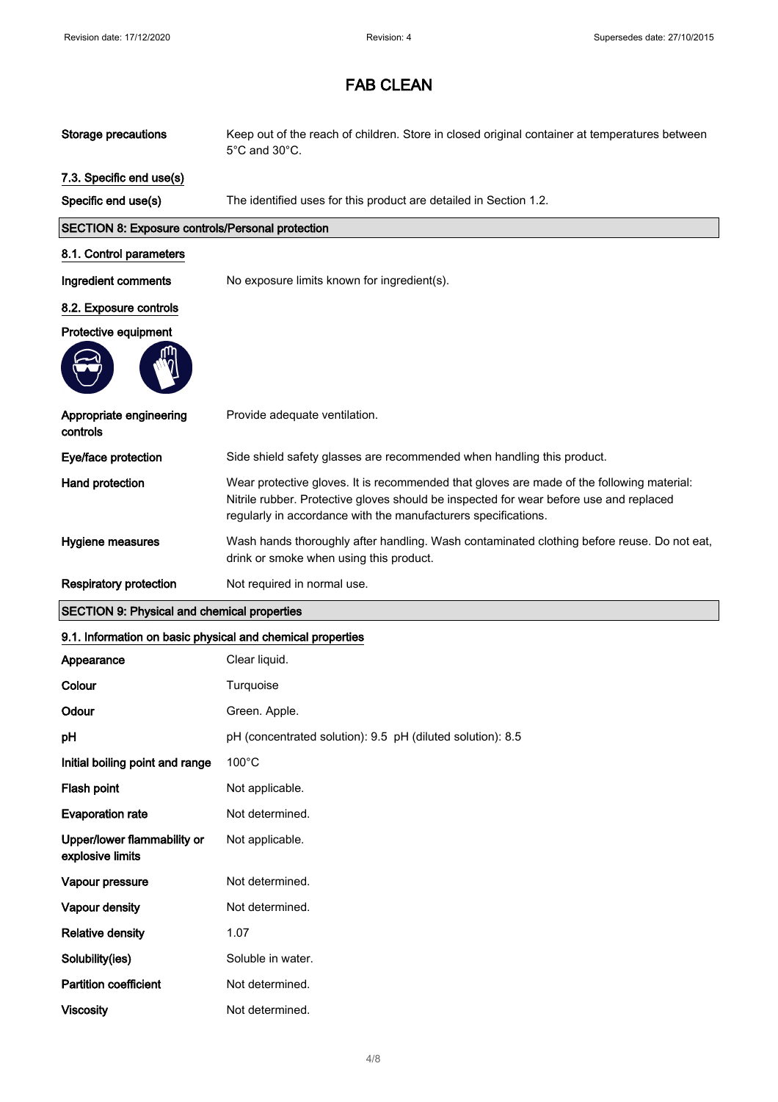| <b>Storage precautions</b>                                 | Keep out of the reach of children. Store in closed original container at temperatures between<br>5°C and 30°C.                                                                                                                                        |
|------------------------------------------------------------|-------------------------------------------------------------------------------------------------------------------------------------------------------------------------------------------------------------------------------------------------------|
| 7.3. Specific end use(s)                                   |                                                                                                                                                                                                                                                       |
| Specific end use(s)                                        | The identified uses for this product are detailed in Section 1.2.                                                                                                                                                                                     |
| <b>SECTION 8: Exposure controls/Personal protection</b>    |                                                                                                                                                                                                                                                       |
| 8.1. Control parameters                                    |                                                                                                                                                                                                                                                       |
| Ingredient comments                                        | No exposure limits known for ingredient(s).                                                                                                                                                                                                           |
| 8.2. Exposure controls                                     |                                                                                                                                                                                                                                                       |
| Protective equipment                                       |                                                                                                                                                                                                                                                       |
|                                                            |                                                                                                                                                                                                                                                       |
| Appropriate engineering<br>controls                        | Provide adequate ventilation.                                                                                                                                                                                                                         |
| Eye/face protection                                        | Side shield safety glasses are recommended when handling this product.                                                                                                                                                                                |
| Hand protection                                            | Wear protective gloves. It is recommended that gloves are made of the following material:<br>Nitrile rubber. Protective gloves should be inspected for wear before use and replaced<br>regularly in accordance with the manufacturers specifications. |
| Hygiene measures                                           | Wash hands thoroughly after handling. Wash contaminated clothing before reuse. Do not eat,<br>drink or smoke when using this product.                                                                                                                 |
|                                                            |                                                                                                                                                                                                                                                       |
| Respiratory protection                                     | Not required in normal use.                                                                                                                                                                                                                           |
| <b>SECTION 9: Physical and chemical properties</b>         |                                                                                                                                                                                                                                                       |
| 9.1. Information on basic physical and chemical properties |                                                                                                                                                                                                                                                       |
| Appearance                                                 | Clear liquid.                                                                                                                                                                                                                                         |
| Colour                                                     | Turquoise                                                                                                                                                                                                                                             |
| Odour                                                      | Green. Apple.                                                                                                                                                                                                                                         |
| pH                                                         | pH (concentrated solution): 9.5 pH (diluted solution): 8.5                                                                                                                                                                                            |
| Initial boiling point and range                            | $100^{\circ}$ C                                                                                                                                                                                                                                       |
| Flash point                                                | Not applicable.                                                                                                                                                                                                                                       |
| <b>Evaporation rate</b>                                    | Not determined.                                                                                                                                                                                                                                       |
| Upper/lower flammability or<br>explosive limits            | Not applicable.                                                                                                                                                                                                                                       |
| Vapour pressure                                            | Not determined.                                                                                                                                                                                                                                       |
| Vapour density                                             | Not determined.                                                                                                                                                                                                                                       |
| <b>Relative density</b>                                    | 1.07                                                                                                                                                                                                                                                  |
| Solubility(ies)                                            | Soluble in water.                                                                                                                                                                                                                                     |
| <b>Partition coefficient</b>                               | Not determined.                                                                                                                                                                                                                                       |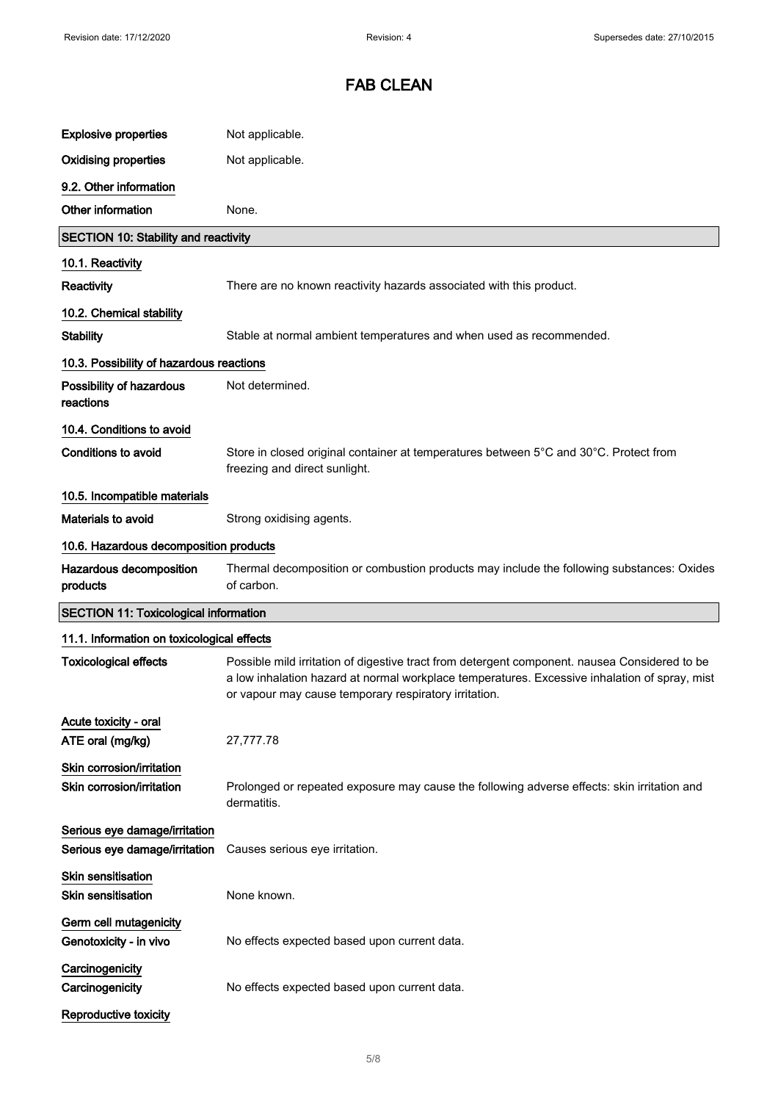| <b>Explosive properties</b>                                    | Not applicable.                                                                                                                                                                                                                                         |
|----------------------------------------------------------------|---------------------------------------------------------------------------------------------------------------------------------------------------------------------------------------------------------------------------------------------------------|
| <b>Oxidising properties</b>                                    | Not applicable.                                                                                                                                                                                                                                         |
| 9.2. Other information                                         |                                                                                                                                                                                                                                                         |
| Other information                                              | None.                                                                                                                                                                                                                                                   |
| <b>SECTION 10: Stability and reactivity</b>                    |                                                                                                                                                                                                                                                         |
| 10.1. Reactivity                                               |                                                                                                                                                                                                                                                         |
| Reactivity                                                     | There are no known reactivity hazards associated with this product.                                                                                                                                                                                     |
| 10.2. Chemical stability                                       |                                                                                                                                                                                                                                                         |
| <b>Stability</b>                                               | Stable at normal ambient temperatures and when used as recommended.                                                                                                                                                                                     |
| 10.3. Possibility of hazardous reactions                       |                                                                                                                                                                                                                                                         |
| Possibility of hazardous<br>reactions                          | Not determined.                                                                                                                                                                                                                                         |
| 10.4. Conditions to avoid                                      |                                                                                                                                                                                                                                                         |
| <b>Conditions to avoid</b>                                     | Store in closed original container at temperatures between 5°C and 30°C. Protect from<br>freezing and direct sunlight.                                                                                                                                  |
| 10.5. Incompatible materials                                   |                                                                                                                                                                                                                                                         |
| <b>Materials to avoid</b>                                      | Strong oxidising agents.                                                                                                                                                                                                                                |
| 10.6. Hazardous decomposition products                         |                                                                                                                                                                                                                                                         |
| Hazardous decomposition<br>products                            | Thermal decomposition or combustion products may include the following substances: Oxides<br>of carbon.                                                                                                                                                 |
| <b>SECTION 11: Toxicological information</b>                   |                                                                                                                                                                                                                                                         |
| 11.1. Information on toxicological effects                     |                                                                                                                                                                                                                                                         |
| <b>Toxicological effects</b>                                   | Possible mild irritation of digestive tract from detergent component. nausea Considered to be<br>a low inhalation hazard at normal workplace temperatures. Excessive inhalation of spray, mist<br>or vapour may cause temporary respiratory irritation. |
| Acute toxicity - oral<br>ATE oral (mg/kg)                      | 27,777.78                                                                                                                                                                                                                                               |
| Skin corrosion/irritation<br>Skin corrosion/irritation         | Prolonged or repeated exposure may cause the following adverse effects: skin irritation and<br>dermatitis.                                                                                                                                              |
| Serious eye damage/irritation<br>Serious eye damage/irritation | Causes serious eye irritation.                                                                                                                                                                                                                          |
| <b>Skin sensitisation</b><br><b>Skin sensitisation</b>         | None known.                                                                                                                                                                                                                                             |
| Germ cell mutagenicity<br>Genotoxicity - in vivo               | No effects expected based upon current data.                                                                                                                                                                                                            |
| Carcinogenicity<br>Carcinogenicity                             | No effects expected based upon current data.                                                                                                                                                                                                            |
| Reproductive toxicity                                          |                                                                                                                                                                                                                                                         |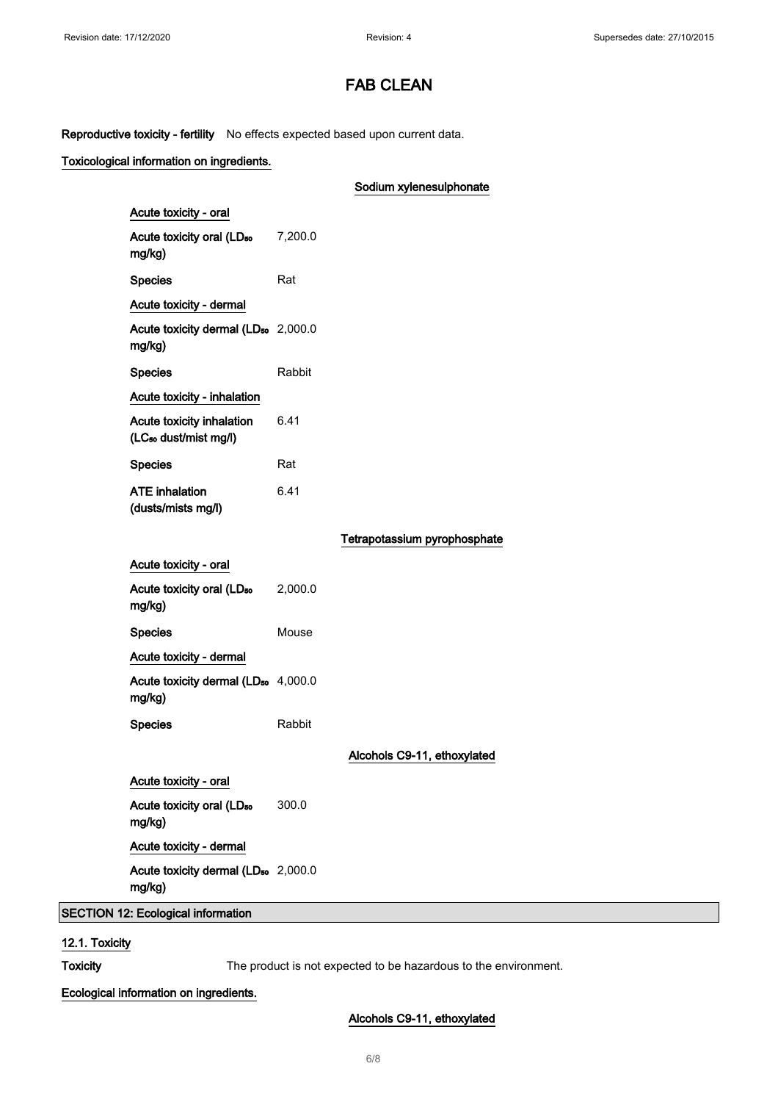Reproductive toxicity - fertility No effects expected based upon current data.

### Toxicological information on ingredients.

|                                                                |         | Sodium xylenesulphonate      |
|----------------------------------------------------------------|---------|------------------------------|
| Acute toxicity - oral                                          |         |                              |
| Acute toxicity oral (LD <sub>50</sub><br>mg/kg)                | 7,200.0 |                              |
| <b>Species</b>                                                 | Rat     |                              |
| Acute toxicity - dermal                                        |         |                              |
| Acute toxicity dermal (LD <sub>50</sub> 2,000.0<br>mg/kg)      |         |                              |
| <b>Species</b>                                                 | Rabbit  |                              |
| Acute toxicity - inhalation                                    |         |                              |
| Acute toxicity inhalation<br>(LC <sub>50</sub> dust/mist mg/l) | 6.41    |                              |
| <b>Species</b>                                                 | Rat     |                              |
| <b>ATE</b> inhalation<br>(dusts/mists mg/l)                    | 6.41    |                              |
|                                                                |         | Tetrapotassium pyrophosphate |
| Acute toxicity - oral                                          |         |                              |
| Acute toxicity oral (LD <sub>50</sub><br>mg/kg)                | 2,000.0 |                              |
| <b>Species</b>                                                 | Mouse   |                              |
| Acute toxicity - dermal                                        |         |                              |
| Acute toxicity dermal (LD <sub>50</sub> 4,000.0<br>mg/kg)      |         |                              |
| <b>Species</b>                                                 | Rabbit  |                              |
|                                                                |         | Alcohols C9-11, ethoxylated  |
| Acute toxicity - oral                                          |         |                              |
| Acute toxicity oral (LD <sub>50</sub><br>mg/kg)                | 300.0   |                              |
| Acute toxicity - dermal                                        |         |                              |
| Acute toxicity dermal (LD <sub>50</sub> 2,000.0<br>mg/kg)      |         |                              |
| <b>SECTION 12: Ecological information</b>                      |         |                              |

12.1. Toxicity

Toxicity The product is not expected to be hazardous to the environment.

Ecological information on ingredients.

### Alcohols C9-11, ethoxylated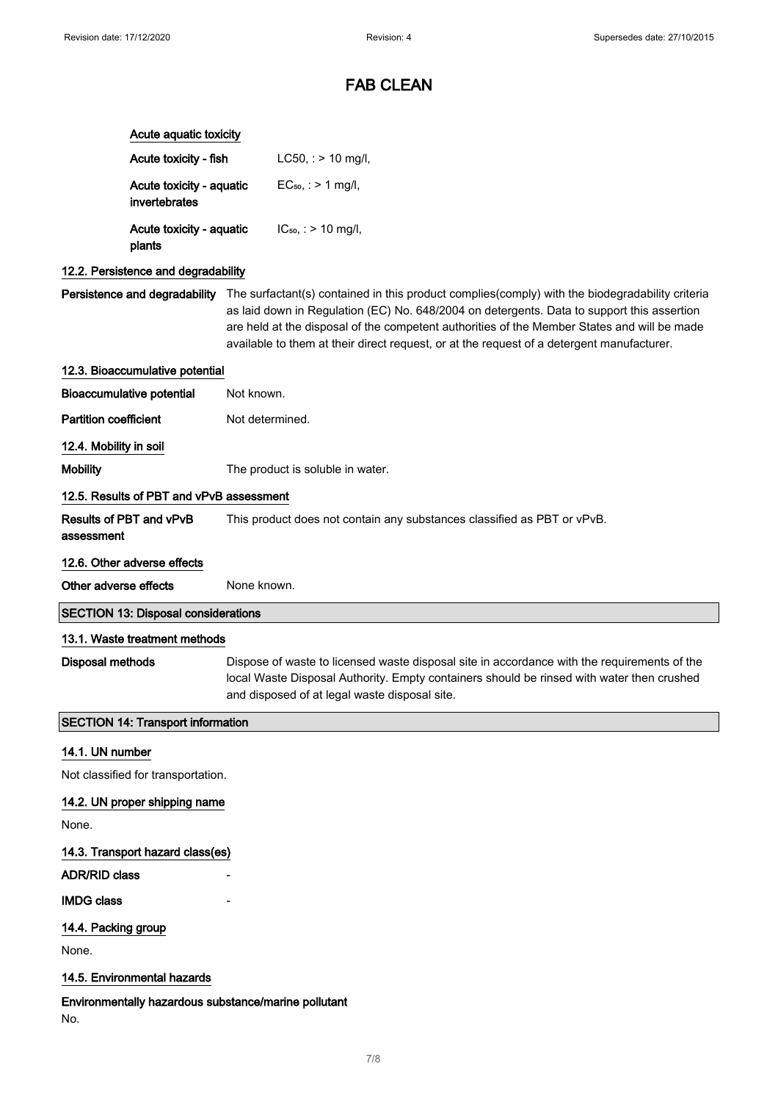|                              | Acute aquatic toxicity                     |                                                                                                                                                                                                                                                                                                                                                                                                                         |
|------------------------------|--------------------------------------------|-------------------------------------------------------------------------------------------------------------------------------------------------------------------------------------------------------------------------------------------------------------------------------------------------------------------------------------------------------------------------------------------------------------------------|
|                              | Acute toxicity - fish                      | $LC50$ , : > 10 mg/l,                                                                                                                                                                                                                                                                                                                                                                                                   |
|                              | Acute toxicity - aquatic<br>invertebrates  | $EC_{50}$ , : > 1 mg/l,                                                                                                                                                                                                                                                                                                                                                                                                 |
|                              | Acute toxicity - aquatic<br>plants         | $IC_{50}$ , : > 10 mg/l,                                                                                                                                                                                                                                                                                                                                                                                                |
|                              | 12.2. Persistence and degradability        |                                                                                                                                                                                                                                                                                                                                                                                                                         |
|                              |                                            | Persistence and degradability The surfactant(s) contained in this product complies(comply) with the biodegradability criteria<br>as laid down in Regulation (EC) No. 648/2004 on detergents. Data to support this assertion<br>are held at the disposal of the competent authorities of the Member States and will be made<br>available to them at their direct request, or at the request of a detergent manufacturer. |
|                              | 12.3. Bioaccumulative potential            |                                                                                                                                                                                                                                                                                                                                                                                                                         |
|                              | <b>Bioaccumulative potential</b>           | Not known.                                                                                                                                                                                                                                                                                                                                                                                                              |
| <b>Partition coefficient</b> |                                            | Not determined.                                                                                                                                                                                                                                                                                                                                                                                                         |
| 12.4. Mobility in soil       |                                            |                                                                                                                                                                                                                                                                                                                                                                                                                         |
| <b>Mobility</b>              |                                            | The product is soluble in water.                                                                                                                                                                                                                                                                                                                                                                                        |
|                              | 12.5. Results of PBT and vPvB assessment   |                                                                                                                                                                                                                                                                                                                                                                                                                         |
| assessment                   | Results of PBT and vPvB                    | This product does not contain any substances classified as PBT or vPvB.                                                                                                                                                                                                                                                                                                                                                 |
|                              | 12.6. Other adverse effects                |                                                                                                                                                                                                                                                                                                                                                                                                                         |
|                              |                                            |                                                                                                                                                                                                                                                                                                                                                                                                                         |
| Other adverse effects        |                                            | None known.                                                                                                                                                                                                                                                                                                                                                                                                             |
|                              | <b>SECTION 13: Disposal considerations</b> |                                                                                                                                                                                                                                                                                                                                                                                                                         |
|                              | 13.1. Waste treatment methods              |                                                                                                                                                                                                                                                                                                                                                                                                                         |
| <b>Disposal methods</b>      |                                            | Dispose of waste to licensed waste disposal site in accordance with the requirements of the<br>local Waste Disposal Authority. Empty containers should be rinsed with water then crushed<br>and disposed of at legal waste disposal site.                                                                                                                                                                               |
|                              | <b>SECTION 14: Transport information</b>   |                                                                                                                                                                                                                                                                                                                                                                                                                         |
| 14.1. UN number              |                                            |                                                                                                                                                                                                                                                                                                                                                                                                                         |
|                              | Not classified for transportation.         |                                                                                                                                                                                                                                                                                                                                                                                                                         |
|                              | 14.2. UN proper shipping name              |                                                                                                                                                                                                                                                                                                                                                                                                                         |
| None.                        |                                            |                                                                                                                                                                                                                                                                                                                                                                                                                         |
|                              | 14.3. Transport hazard class(es)           |                                                                                                                                                                                                                                                                                                                                                                                                                         |
| <b>ADR/RID class</b>         |                                            |                                                                                                                                                                                                                                                                                                                                                                                                                         |
| <b>IMDG class</b>            |                                            |                                                                                                                                                                                                                                                                                                                                                                                                                         |
| 14.4. Packing group          |                                            |                                                                                                                                                                                                                                                                                                                                                                                                                         |
| None.                        |                                            |                                                                                                                                                                                                                                                                                                                                                                                                                         |
|                              | 14.5. Environmental hazards                |                                                                                                                                                                                                                                                                                                                                                                                                                         |